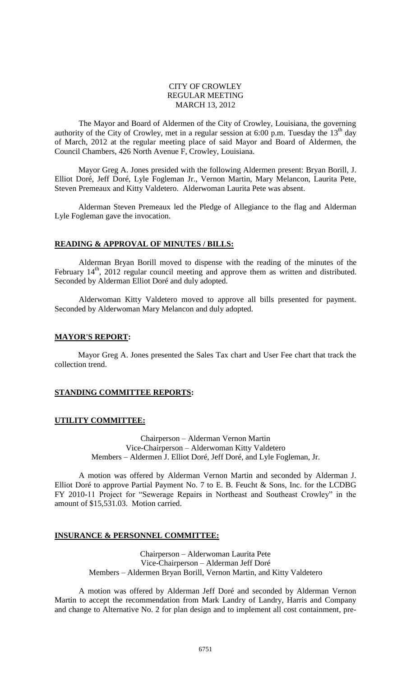# CITY OF CROWLEY REGULAR MEETING MARCH 13, 2012

The Mayor and Board of Aldermen of the City of Crowley, Louisiana, the governing authority of the City of Crowley, met in a regular session at 6:00 p.m. Tuesday the  $13<sup>th</sup>$  day of March, 2012 at the regular meeting place of said Mayor and Board of Aldermen, the Council Chambers, 426 North Avenue F, Crowley, Louisiana.

Mayor Greg A. Jones presided with the following Aldermen present: Bryan Borill, J. Elliot Doré, Jeff Doré, Lyle Fogleman Jr., Vernon Martin, Mary Melancon, Laurita Pete, Steven Premeaux and Kitty Valdetero. Alderwoman Laurita Pete was absent.

Alderman Steven Premeaux led the Pledge of Allegiance to the flag and Alderman Lyle Fogleman gave the invocation.

## **READING & APPROVAL OF MINUTES / BILLS:**

Alderman Bryan Borill moved to dispense with the reading of the minutes of the February 14<sup>th</sup>, 2012 regular council meeting and approve them as written and distributed. Seconded by Alderman Elliot Doré and duly adopted.

Alderwoman Kitty Valdetero moved to approve all bills presented for payment. Seconded by Alderwoman Mary Melancon and duly adopted.

## **MAYOR'S REPORT:**

Mayor Greg A. Jones presented the Sales Tax chart and User Fee chart that track the collection trend.

# **STANDING COMMITTEE REPORTS:**

# **UTILITY COMMITTEE:**

Chairperson – Alderman Vernon Martin Vice-Chairperson – Alderwoman Kitty Valdetero Members – Aldermen J. Elliot Doré, Jeff Doré, and Lyle Fogleman, Jr.

A motion was offered by Alderman Vernon Martin and seconded by Alderman J. Elliot Doré to approve Partial Payment No. 7 to E. B. Feucht & Sons, Inc. for the LCDBG FY 2010-11 Project for "Sewerage Repairs in Northeast and Southeast Crowley" in the amount of \$15,531.03. Motion carried.

#### **INSURANCE & PERSONNEL COMMITTEE:**

Chairperson – Alderwoman Laurita Pete Vice-Chairperson – Alderman Jeff Doré Members – Aldermen Bryan Borill, Vernon Martin, and Kitty Valdetero

A motion was offered by Alderman Jeff Doré and seconded by Alderman Vernon Martin to accept the recommendation from Mark Landry of Landry, Harris and Company and change to Alternative No. 2 for plan design and to implement all cost containment, pre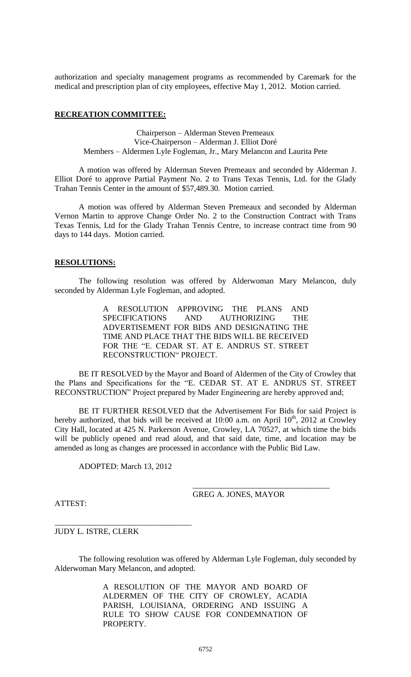authorization and specialty management programs as recommended by Caremark for the medical and prescription plan of city employees, effective May 1, 2012. Motion carried.

### **RECREATION COMMITTEE:**

Chairperson – Alderman Steven Premeaux Vice-Chairperson – Alderman J. Elliot Doré Members – Aldermen Lyle Fogleman, Jr., Mary Melancon and Laurita Pete

A motion was offered by Alderman Steven Premeaux and seconded by Alderman J. Elliot Doré to approve Partial Payment No. 2 to Trans Texas Tennis, Ltd. for the Glady Trahan Tennis Center in the amount of \$57,489.30. Motion carried.

A motion was offered by Alderman Steven Premeaux and seconded by Alderman Vernon Martin to approve Change Order No. 2 to the Construction Contract with Trans Texas Tennis, Ltd for the Glady Trahan Tennis Centre, to increase contract time from 90 days to 144 days. Motion carried.

#### **RESOLUTIONS:**

The following resolution was offered by Alderwoman Mary Melancon, duly seconded by Alderman Lyle Fogleman, and adopted.

> A RESOLUTION APPROVING THE PLANS AND SPECIFICATIONS AND AUTHORIZING THE ADVERTISEMENT FOR BIDS AND DESIGNATING THE TIME AND PLACE THAT THE BIDS WILL BE RECEIVED FOR THE "E. CEDAR ST. AT E. ANDRUS ST. STREET RECONSTRUCTION" PROJECT.

BE IT RESOLVED by the Mayor and Board of Aldermen of the City of Crowley that the Plans and Specifications for the "E. CEDAR ST. AT E. ANDRUS ST. STREET RECONSTRUCTION" Project prepared by Mader Engineering are hereby approved and;

BE IT FURTHER RESOLVED that the Advertisement For Bids for said Project is hereby authorized, that bids will be received at 10:00 a.m. on April  $10^{th}$ , 2012 at Crowley City Hall, located at 425 N. Parkerson Avenue, Crowley, LA 70527, at which time the bids will be publicly opened and read aloud, and that said date, time, and location may be amended as long as changes are processed in accordance with the Public Bid Law.

ADOPTED: March 13, 2012

\_\_\_\_\_\_\_\_\_\_\_\_\_\_\_\_\_\_\_\_\_\_\_\_\_\_\_\_\_\_\_\_\_\_

GREG A. JONES, MAYOR

\_\_\_\_\_\_\_\_\_\_\_\_\_\_\_\_\_\_\_\_\_\_\_\_\_\_\_\_\_\_\_\_\_\_

ATTEST:

JUDY L. ISTRE, CLERK

The following resolution was offered by Alderman Lyle Fogleman, duly seconded by Alderwoman Mary Melancon, and adopted.

> A RESOLUTION OF THE MAYOR AND BOARD OF ALDERMEN OF THE CITY OF CROWLEY, ACADIA PARISH, LOUISIANA, ORDERING AND ISSUING A RULE TO SHOW CAUSE FOR CONDEMNATION OF PROPERTY.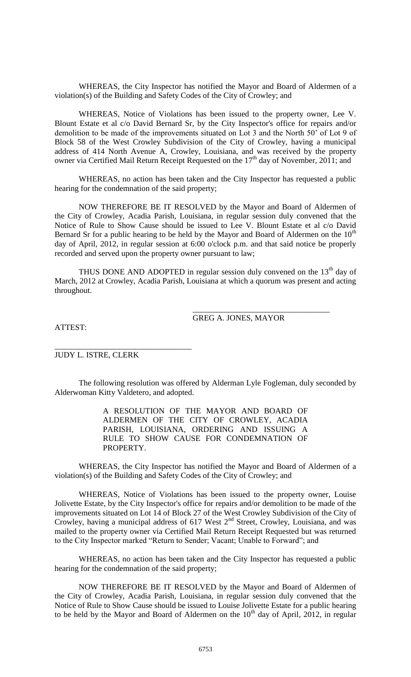WHEREAS, the City Inspector has notified the Mayor and Board of Aldermen of a violation(s) of the Building and Safety Codes of the City of Crowley; and

WHEREAS, Notice of Violations has been issued to the property owner, Lee V. Blount Estate et al c/o David Bernard Sr, by the City Inspector's office for repairs and/or demolition to be made of the improvements situated on Lot 3 and the North 50' of Lot 9 of Block 58 of the West Crowley Subdivision of the City of Crowley, having a municipal address of 414 North Avenue A, Crowley, Louisiana, and was received by the property owner via Certified Mail Return Receipt Requested on the  $17<sup>th</sup>$  day of November, 2011; and

WHEREAS, no action has been taken and the City Inspector has requested a public hearing for the condemnation of the said property;

NOW THEREFORE BE IT RESOLVED by the Mayor and Board of Aldermen of the City of Crowley, Acadia Parish, Louisiana, in regular session duly convened that the Notice of Rule to Show Cause should be issued to Lee V. Blount Estate et al c/o David Bernard Sr for a public hearing to be held by the Mayor and Board of Aldermen on the  $10<sup>th</sup>$ day of April, 2012, in regular session at 6:00 o'clock p.m. and that said notice be properly recorded and served upon the property owner pursuant to law;

THUS DONE AND ADOPTED in regular session duly convened on the  $13<sup>th</sup>$  day of March, 2012 at Crowley, Acadia Parish, Louisiana at which a quorum was present and acting throughout.

GREG A. JONES, MAYOR

\_\_\_\_\_\_\_\_\_\_\_\_\_\_\_\_\_\_\_\_\_\_\_\_\_\_\_\_\_\_\_\_\_\_

ATTEST:

JUDY L. ISTRE, CLERK

\_\_\_\_\_\_\_\_\_\_\_\_\_\_\_\_\_\_\_\_\_\_\_\_\_\_\_\_\_\_\_\_\_\_

The following resolution was offered by Alderman Lyle Fogleman, duly seconded by Alderwoman Kitty Valdetero, and adopted.

> A RESOLUTION OF THE MAYOR AND BOARD OF ALDERMEN OF THE CITY OF CROWLEY, ACADIA PARISH, LOUISIANA, ORDERING AND ISSUING A RULE TO SHOW CAUSE FOR CONDEMNATION OF PROPERTY.

WHEREAS, the City Inspector has notified the Mayor and Board of Aldermen of a violation(s) of the Building and Safety Codes of the City of Crowley; and

WHEREAS, Notice of Violations has been issued to the property owner, Louise Jolivette Estate, by the City Inspector's office for repairs and/or demolition to be made of the improvements situated on Lot 14 of Block 27 of the West Crowley Subdivision of the City of Crowley, having a municipal address of 617 West  $2<sup>nd</sup>$  Street, Crowley, Louisiana, and was mailed to the property owner via Certified Mail Return Receipt Requested but was returned to the City Inspector marked "Return to Sender; Vacant; Unable to Forward"; and

WHEREAS, no action has been taken and the City Inspector has requested a public hearing for the condemnation of the said property;

NOW THEREFORE BE IT RESOLVED by the Mayor and Board of Aldermen of the City of Crowley, Acadia Parish, Louisiana, in regular session duly convened that the Notice of Rule to Show Cause should be issued to Louise Jolivette Estate for a public hearing to be held by the Mayor and Board of Aldermen on the  $10<sup>th</sup>$  day of April, 2012, in regular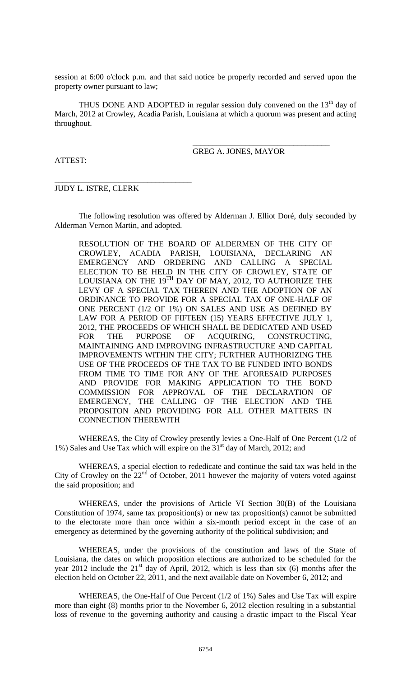session at 6:00 o'clock p.m. and that said notice be properly recorded and served upon the property owner pursuant to law;

THUS DONE AND ADOPTED in regular session duly convened on the  $13<sup>th</sup>$  day of March, 2012 at Crowley, Acadia Parish, Louisiana at which a quorum was present and acting throughout.

GREG A. JONES, MAYOR

\_\_\_\_\_\_\_\_\_\_\_\_\_\_\_\_\_\_\_\_\_\_\_\_\_\_\_\_\_\_\_\_\_\_

ATTEST:

JUDY L. ISTRE, CLERK

\_\_\_\_\_\_\_\_\_\_\_\_\_\_\_\_\_\_\_\_\_\_\_\_\_\_\_\_\_\_\_\_\_\_

The following resolution was offered by Alderman J. Elliot Doré, duly seconded by Alderman Vernon Martin, and adopted.

RESOLUTION OF THE BOARD OF ALDERMEN OF THE CITY OF CROWLEY, ACADIA PARISH, LOUISIANA, DECLARING AN EMERGENCY AND ORDERING AND CALLING A SPECIAL ELECTION TO BE HELD IN THE CITY OF CROWLEY, STATE OF LOUISIANA ON THE 19<sup>TH</sup> DAY OF MAY, 2012, TO AUTHORIZE THE LEVY OF A SPECIAL TAX THEREIN AND THE ADOPTION OF AN ORDINANCE TO PROVIDE FOR A SPECIAL TAX OF ONE-HALF OF ONE PERCENT (1/2 OF 1%) ON SALES AND USE AS DEFINED BY LAW FOR A PERIOD OF FIFTEEN (15) YEARS EFFECTIVE JULY 1, 2012, THE PROCEEDS OF WHICH SHALL BE DEDICATED AND USED FOR THE PURPOSE OF ACQUIRING, CONSTRUCTING, MAINTAINING AND IMPROVING INFRASTRUCTURE AND CAPITAL IMPROVEMENTS WITHIN THE CITY; FURTHER AUTHORIZING THE USE OF THE PROCEEDS OF THE TAX TO BE FUNDED INTO BONDS FROM TIME TO TIME FOR ANY OF THE AFORESAID PURPOSES AND PROVIDE FOR MAKING APPLICATION TO THE BOND COMMISSION FOR APPROVAL OF THE DECLARATION OF EMERGENCY, THE CALLING OF THE ELECTION AND THE PROPOSITON AND PROVIDING FOR ALL OTHER MATTERS IN CONNECTION THEREWITH

WHEREAS, the City of Crowley presently levies a One-Half of One Percent (1/2 of 1%) Sales and Use Tax which will expire on the 31<sup>st</sup> day of March, 2012; and

WHEREAS, a special election to rededicate and continue the said tax was held in the City of Crowley on the  $22<sup>nd</sup>$  of October, 2011 however the majority of voters voted against the said proposition; and

WHEREAS, under the provisions of Article VI Section 30(B) of the Louisiana Constitution of 1974, same tax proposition(s) or new tax proposition(s) cannot be submitted to the electorate more than once within a six-month period except in the case of an emergency as determined by the governing authority of the political subdivision; and

WHEREAS, under the provisions of the constitution and laws of the State of Louisiana, the dates on which proposition elections are authorized to be scheduled for the year 2012 include the  $21<sup>st</sup>$  day of April, 2012, which is less than six (6) months after the election held on October 22, 2011, and the next available date on November 6, 2012; and

WHEREAS, the One-Half of One Percent (1/2 of 1%) Sales and Use Tax will expire more than eight (8) months prior to the November 6, 2012 election resulting in a substantial loss of revenue to the governing authority and causing a drastic impact to the Fiscal Year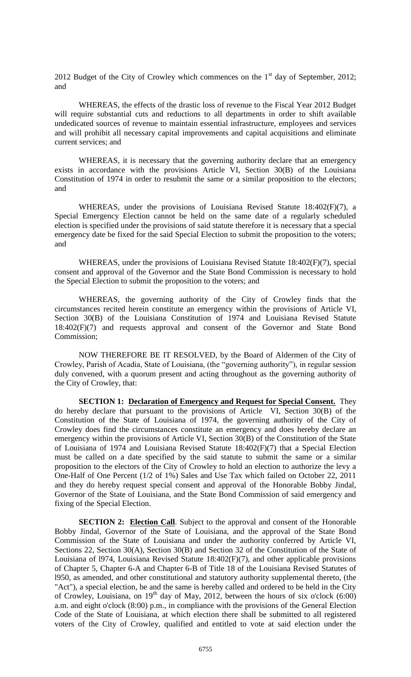2012 Budget of the City of Crowley which commences on the  $1<sup>st</sup>$  day of September, 2012; and

WHEREAS, the effects of the drastic loss of revenue to the Fiscal Year 2012 Budget will require substantial cuts and reductions to all departments in order to shift available undedicated sources of revenue to maintain essential infrastructure, employees and services and will prohibit all necessary capital improvements and capital acquisitions and eliminate current services; and

WHEREAS, it is necessary that the governing authority declare that an emergency exists in accordance with the provisions Article VI, Section 30(B) of the Louisiana Constitution of 1974 in order to resubmit the same or a similar proposition to the electors; and

WHEREAS, under the provisions of Louisiana Revised Statute 18:402(F)(7), a Special Emergency Election cannot be held on the same date of a regularly scheduled election is specified under the provisions of said statute therefore it is necessary that a special emergency date be fixed for the said Special Election to submit the proposition to the voters; and

WHEREAS, under the provisions of Louisiana Revised Statute 18:402(F)(7), special consent and approval of the Governor and the State Bond Commission is necessary to hold the Special Election to submit the proposition to the voters; and

WHEREAS, the governing authority of the City of Crowley finds that the circumstances recited herein constitute an emergency within the provisions of Article VI, Section 30(B) of the Louisiana Constitution of 1974 and Louisiana Revised Statute 18:402(F)(7) and requests approval and consent of the Governor and State Bond Commission;

NOW THEREFORE BE IT RESOLVED, by the Board of Aldermen of the City of Crowley, Parish of Acadia, State of Louisiana, (the "governing authority"), in regular session duly convened, with a quorum present and acting throughout as the governing authority of the City of Crowley, that:

**SECTION 1: Declaration of Emergency and Request for Special Consent.** They do hereby declare that pursuant to the provisions of Article VI, Section 30(B) of the Constitution of the State of Louisiana of 1974, the governing authority of the City of Crowley does find the circumstances constitute an emergency and does hereby declare an emergency within the provisions of Article VI, Section 30(B) of the Constitution of the State of Louisiana of 1974 and Louisiana Revised Statute 18:402(F)(7) that a Special Election must be called on a date specified by the said statute to submit the same or a similar proposition to the electors of the City of Crowley to hold an election to authorize the levy a One-Half of One Percent (1/2 of 1%) Sales and Use Tax which failed on October 22, 2011 and they do hereby request special consent and approval of the Honorable Bobby Jindal, Governor of the State of Louisiana, and the State Bond Commission of said emergency and fixing of the Special Election.

**SECTION 2: Election Call**. Subject to the approval and consent of the Honorable Bobby Jindal, Governor of the State of Louisiana, and the approval of the State Bond Commission of the State of Louisiana and under the authority conferred by Article VI, Sections 22, Section 30(A), Section 30(B) and Section 32 of the Constitution of the State of Louisiana of l974, Louisiana Revised Statute 18:402(F)(7), and other applicable provisions of Chapter 5, Chapter 6-A and Chapter 6-B of Title 18 of the Louisiana Revised Statutes of l950, as amended, and other constitutional and statutory authority supplemental thereto, (the "Act"), a special election, be and the same is hereby called and ordered to be held in the City of Crowley, Louisiana, on  $19<sup>th</sup>$  day of May, 2012, between the hours of six o'clock (6:00) a.m. and eight o'clock (8:00) p.m., in compliance with the provisions of the General Election Code of the State of Louisiana, at which election there shall be submitted to all registered voters of the City of Crowley, qualified and entitled to vote at said election under the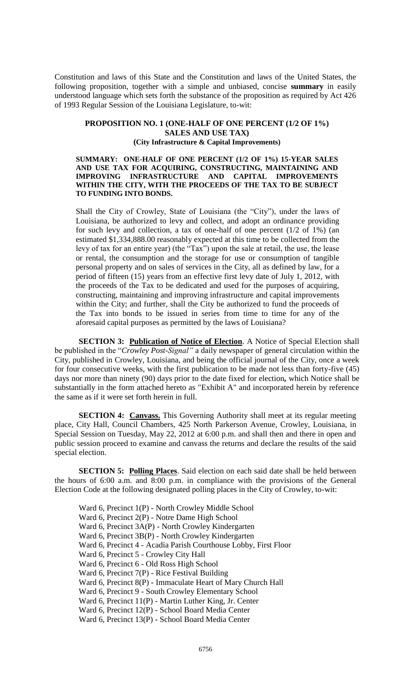Constitution and laws of this State and the Constitution and laws of the United States, the following proposition, together with a simple and unbiased, concise **summary** in easily understood language which sets forth the substance of the proposition as required by Act 426 of 1993 Regular Session of the Louisiana Legislature, to-wit:

# **PROPOSITION NO. 1 (ONE-HALF OF ONE PERCENT (1/2 OF 1%) SALES AND USE TAX) (City Infrastructure & Capital Improvements)**

#### **SUMMARY: ONE-HALF OF ONE PERCENT (1/2 OF 1%) 15-YEAR SALES AND USE TAX FOR ACQUIRING, CONSTRUCTING, MAINTAINING AND IMPROVING INFRASTRUCTURE AND CAPITAL IMPROVEMENTS WITHIN THE CITY, WITH THE PROCEEDS OF THE TAX TO BE SUBJECT TO FUNDING INTO BONDS.**

Shall the City of Crowley, State of Louisiana (the "City"), under the laws of Louisiana, be authorized to levy and collect, and adopt an ordinance providing for such levy and collection, a tax of one-half of one percent  $(1/2 \text{ of } 1\%)$  (an estimated \$1,334,888.00 reasonably expected at this time to be collected from the levy of tax for an entire year) (the "Tax") upon the sale at retail, the use, the lease or rental, the consumption and the storage for use or consumption of tangible personal property and on sales of services in the City, all as defined by law, for a period of fifteen (15) years from an effective first levy date of July 1, 2012, with the proceeds of the Tax to be dedicated and used for the purposes of acquiring, constructing, maintaining and improving infrastructure and capital improvements within the City; and further, shall the City be authorized to fund the proceeds of the Tax into bonds to be issued in series from time to time for any of the aforesaid capital purposes as permitted by the laws of Louisiana?

**SECTION 3: Publication of Notice of Election**. A Notice of Special Election shall be published in the "*Crowley Post-Signal"* a daily newspaper of general circulation within the City, published in Crowley, Louisiana, and being the official journal of the City, once a week for four consecutive weeks, with the first publication to be made not less than forty-five (45) days nor more than ninety (90) days prior to the date fixed for election*,* which Notice shall be substantially in the form attached hereto as "Exhibit A" and incorporated herein by reference the same as if it were set forth herein in full.

**SECTION 4: Canvass.** This Governing Authority shall meet at its regular meeting place, City Hall, Council Chambers, 425 North Parkerson Avenue, Crowley, Louisiana, in Special Session on Tuesday, May 22, 2012 at 6:00 p.m. and shall then and there in open and public session proceed to examine and canvass the returns and declare the results of the said special election.

**SECTION 5: Polling Places**. Said election on each said date shall be held between the hours of 6:00 a.m. and 8:00 p.m. in compliance with the provisions of the General Election Code at the following designated polling places in the City of Crowley, to-wit:

Ward 6, Precinct 1(P) - North Crowley Middle School Ward 6, Precinct 2(P) - Notre Dame High School Ward 6, Precinct 3A(P) - North Crowley Kindergarten Ward 6, Precinct 3B(P) - North Crowley Kindergarten Ward 6, Precinct 4 - Acadia Parish Courthouse Lobby, First Floor Ward 6, Precinct 5 - Crowley City Hall Ward 6, Precinct 6 - Old Ross High School Ward 6, Precinct 7(P) - Rice Festival Building Ward 6, Precinct 8(P) - Immaculate Heart of Mary Church Hall Ward 6, Precinct 9 - South Crowley Elementary School Ward 6, Precinct 11(P) - Martin Luther King, Jr. Center Ward 6, Precinct 12(P) - School Board Media Center Ward 6, Precinct 13(P) - School Board Media Center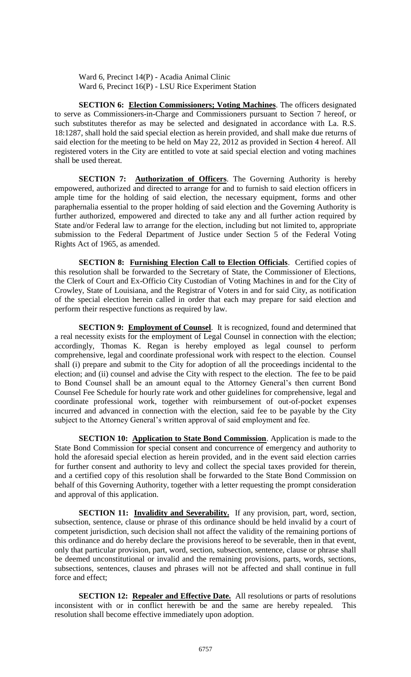Ward 6, Precinct 14(P) - Acadia Animal Clinic Ward 6, Precinct 16(P) - LSU Rice Experiment Station

**SECTION 6: Election Commissioners; Voting Machines**. The officers designated to serve as Commissioners-in-Charge and Commissioners pursuant to Section 7 hereof, or such substitutes therefor as may be selected and designated in accordance with La. R.S. 18:1287, shall hold the said special election as herein provided, and shall make due returns of said election for the meeting to be held on May 22, 2012 as provided in Section 4 hereof. All registered voters in the City are entitled to vote at said special election and voting machines shall be used thereat.

**SECTION 7: Authorization of Officers**. The Governing Authority is hereby empowered, authorized and directed to arrange for and to furnish to said election officers in ample time for the holding of said election, the necessary equipment, forms and other paraphernalia essential to the proper holding of said election and the Governing Authority is further authorized, empowered and directed to take any and all further action required by State and/or Federal law to arrange for the election, including but not limited to, appropriate submission to the Federal Department of Justice under Section 5 of the Federal Voting Rights Act of 1965, as amended.

**SECTION 8: Furnishing Election Call to Election Officials**. Certified copies of this resolution shall be forwarded to the Secretary of State, the Commissioner of Elections, the Clerk of Court and Ex-Officio City Custodian of Voting Machines in and for the City of Crowley, State of Louisiana, and the Registrar of Voters in and for said City, as notification of the special election herein called in order that each may prepare for said election and perform their respective functions as required by law.

**SECTION 9: Employment of Counsel**. It is recognized, found and determined that a real necessity exists for the employment of Legal Counsel in connection with the election; accordingly, Thomas K. Regan is hereby employed as legal counsel to perform comprehensive, legal and coordinate professional work with respect to the election. Counsel shall (i) prepare and submit to the City for adoption of all the proceedings incidental to the election; and (ii) counsel and advise the City with respect to the election. The fee to be paid to Bond Counsel shall be an amount equal to the Attorney General's then current Bond Counsel Fee Schedule for hourly rate work and other guidelines for comprehensive, legal and coordinate professional work, together with reimbursement of out-of-pocket expenses incurred and advanced in connection with the election, said fee to be payable by the City subject to the Attorney General's written approval of said employment and fee.

**SECTION 10: Application to State Bond Commission**. Application is made to the State Bond Commission for special consent and concurrence of emergency and authority to hold the aforesaid special election as herein provided, and in the event said election carries for further consent and authority to levy and collect the special taxes provided for therein, and a certified copy of this resolution shall be forwarded to the State Bond Commission on behalf of this Governing Authority, together with a letter requesting the prompt consideration and approval of this application.

**SECTION 11: Invalidity and Severability.** If any provision, part, word, section, subsection, sentence, clause or phrase of this ordinance should be held invalid by a court of competent jurisdiction, such decision shall not affect the validity of the remaining portions of this ordinance and do hereby declare the provisions hereof to be severable, then in that event, only that particular provision, part, word, section, subsection, sentence, clause or phrase shall be deemed unconstitutional or invalid and the remaining provisions, parts, words, sections, subsections, sentences, clauses and phrases will not be affected and shall continue in full force and effect;

**SECTION 12:** Repealer and Effective Date. All resolutions or parts of resolutions inconsistent with or in conflict herewith be and the same are hereby repealed. This resolution shall become effective immediately upon adoption.